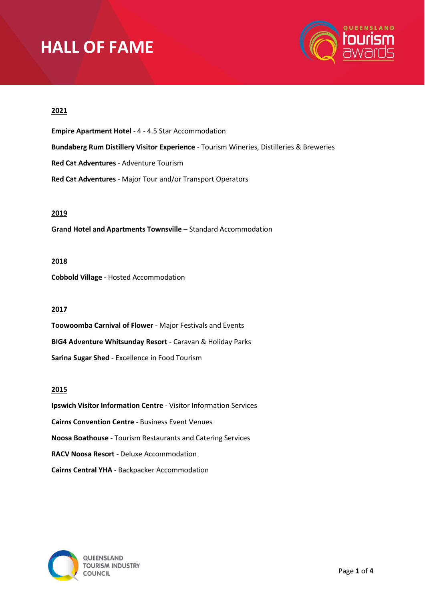

# **2021**

**Empire Apartment Hotel** - 4 - 4.5 Star Accommodation **Bundaberg Rum Distillery Visitor Experience** - Tourism Wineries, Distilleries & Breweries **Red Cat Adventures** - Adventure Tourism **Red Cat Adventures** - Major Tour and/or Transport Operators

## **2019**

**Grand Hotel and Apartments Townsville** – Standard Accommodation

### **2018**

**Cobbold Village** - Hosted Accommodation

# **2017**

**Toowoomba Carnival of Flower** - Major Festivals and Events **BIG4 Adventure Whitsunday Resort** - Caravan & Holiday Parks **Sarina Sugar Shed** - Excellence in Food Tourism

## **2015**

**Ipswich Visitor Information Centre** - Visitor Information Services **Cairns Convention Centre** - Business Event Venues **Noosa Boathouse** - Tourism Restaurants and Catering Services **RACV Noosa Resort** - Deluxe Accommodation **Cairns Central YHA** - Backpacker Accommodation

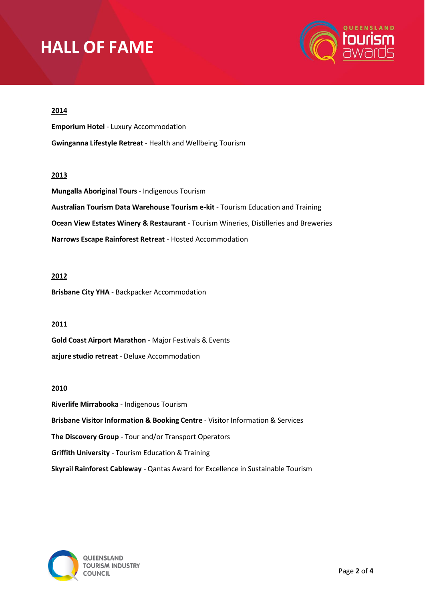

# **2014**

**Emporium Hotel** - Luxury Accommodation **Gwinganna Lifestyle Retreat** - Health and Wellbeing Tourism

#### **2013**

**Mungalla Aboriginal Tours** - Indigenous Tourism **Australian Tourism Data Warehouse Tourism e-kit** - Tourism Education and Training **Ocean View Estates Winery & Restaurant** - Tourism Wineries, Distilleries and Breweries **Narrows Escape Rainforest Retreat** - Hosted Accommodation

### **2012**

**Brisbane City YHA** - Backpacker Accommodation

#### **2011**

**Gold Coast Airport Marathon** - Major Festivals & Events **azjure studio retreat** - Deluxe Accommodation

#### **2010**

**Riverlife Mirrabooka** - Indigenous Tourism **Brisbane Visitor Information & Booking Centre** - Visitor Information & Services **The Discovery Group** - Tour and/or Transport Operators **Griffith University** - Tourism Education & Training **Skyrail Rainforest Cableway** - Qantas Award for Excellence in Sustainable Tourism

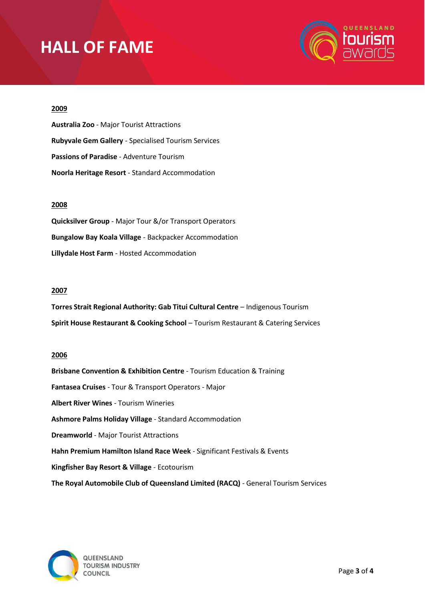

### **2009**

**Australia Zoo** - Major Tourist Attractions **Rubyvale Gem Gallery** - Specialised Tourism Services **Passions of Paradise** - Adventure Tourism **Noorla Heritage Resort** - Standard Accommodation

## **2008**

**Quicksilver Group** - Major Tour &/or Transport Operators **Bungalow Bay Koala Village** - Backpacker Accommodation **Lillydale Host Farm** - Hosted Accommodation

### **2007**

**Torres Strait Regional Authority: Gab Titui Cultural Centre** – Indigenous Tourism **Spirit House Restaurant & Cooking School** – Tourism Restaurant & Catering Services

### **2006**

**Brisbane Convention & Exhibition Centre** - Tourism Education & Training **Fantasea Cruises** - Tour & Transport Operators - Major **Albert River Wines** - Tourism Wineries **Ashmore Palms Holiday Village** - Standard Accommodation **Dreamworld** - Major Tourist Attractions **Hahn Premium Hamilton Island Race Week** - Significant Festivals & Events **Kingfisher Bay Resort & Village** - Ecotourism **The Royal Automobile Club of Queensland Limited (RACQ)** - General Tourism Services

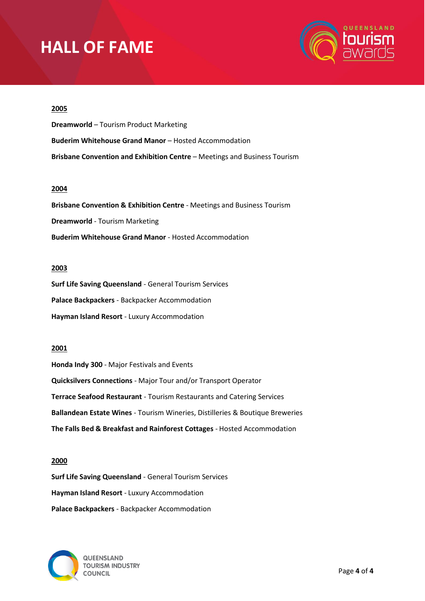

### **2005**

**Dreamworld** – Tourism Product Marketing **Buderim Whitehouse Grand Manor** – Hosted Accommodation **Brisbane Convention and Exhibition Centre** – Meetings and Business Tourism

# **2004**

**Brisbane Convention & Exhibition Centre** - Meetings and Business Tourism **Dreamworld** - Tourism Marketing **Buderim Whitehouse Grand Manor** - Hosted Accommodation

### **2003**

**Surf Life Saving Queensland** - General Tourism Services **Palace Backpackers** - Backpacker Accommodation **Hayman Island Resort** - Luxury Accommodation

### **2001**

**Honda Indy 300** - Major Festivals and Events **Quicksilvers Connections** - Major Tour and/or Transport Operator **Terrace Seafood Restaurant** - Tourism Restaurants and Catering Services **Ballandean Estate Wines** - Tourism Wineries, Distilleries & Boutique Breweries **The Falls Bed & Breakfast and Rainforest Cottages** - Hosted Accommodation

#### **2000**

**Surf Life Saving Queensland** - General Tourism Services **Hayman Island Resort** - Luxury Accommodation **Palace Backpackers** - Backpacker Accommodation